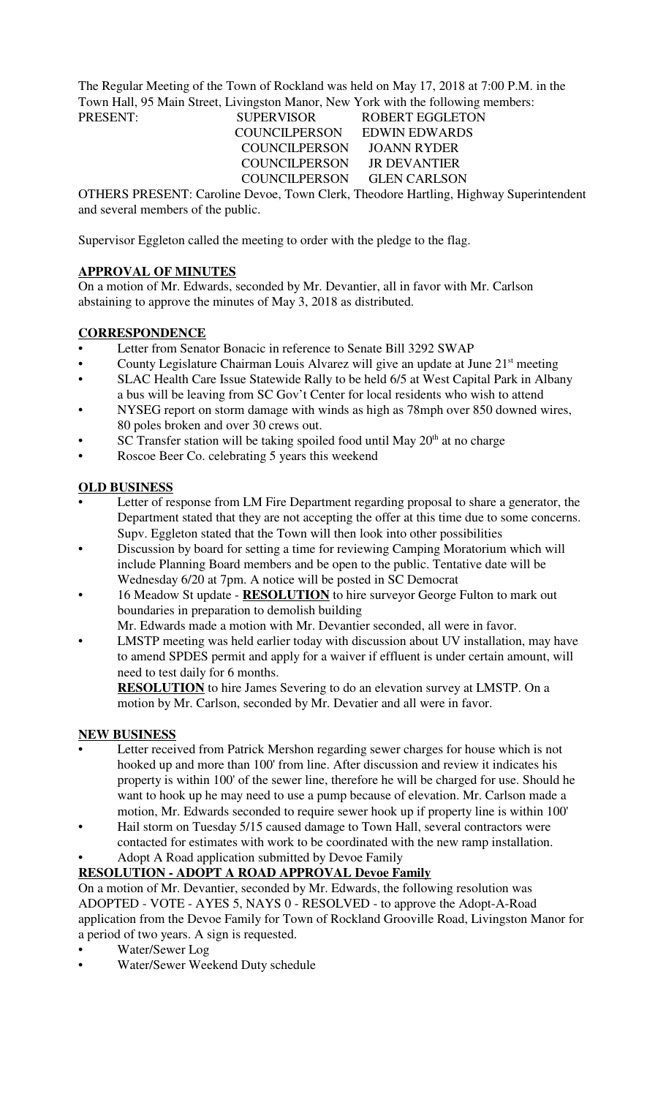The Regular Meeting of the Town of Rockland was held on May 17, 2018 at 7:00 P.M. in the Town Hall, 95 Main Street, Livingston Manor, New York with the following members:

 COUNCILPERSON EDWIN EDWARDS COUNCILPERSON JOANN RYDER COUNCILPERSON JR DEVANTIER COUNCILPERSON GLEN CARLSON

PRESENT: SUPERVISOR ROBERT EGGLETON

OTHERS PRESENT: Caroline Devoe, Town Clerk, Theodore Hartling, Highway Superintendent and several members of the public.

Supervisor Eggleton called the meeting to order with the pledge to the flag.

# **APPROVAL OF MINUTES**

On a motion of Mr. Edwards, seconded by Mr. Devantier, all in favor with Mr. Carlson abstaining to approve the minutes of May 3, 2018 as distributed.

# **CORRESPONDENCE**

- Letter from Senator Bonacic in reference to Senate Bill 3292 SWAP
- County Legislature Chairman Louis Alvarez will give an update at June 21<sup>st</sup> meeting
- SLAC Health Care Issue Statewide Rally to be held 6/5 at West Capital Park in Albany a bus will be leaving from SC Gov't Center for local residents who wish to attend
- NYSEG report on storm damage with winds as high as 78mph over 850 downed wires, 80 poles broken and over 30 crews out.
- SC Transfer station will be taking spoiled food until May  $20<sup>th</sup>$  at no charge
- Roscoe Beer Co. celebrating 5 years this weekend

# **OLD BUSINESS**

- Letter of response from LM Fire Department regarding proposal to share a generator, the Department stated that they are not accepting the offer at this time due to some concerns. Supv. Eggleton stated that the Town will then look into other possibilities
- Discussion by board for setting a time for reviewing Camping Moratorium which will include Planning Board members and be open to the public. Tentative date will be Wednesday 6/20 at 7pm. A notice will be posted in SC Democrat
- 16 Meadow St update **RESOLUTION** to hire surveyor George Fulton to mark out boundaries in preparation to demolish building
	- Mr. Edwards made a motion with Mr. Devantier seconded, all were in favor.
- LMSTP meeting was held earlier today with discussion about UV installation, may have to amend SPDES permit and apply for a waiver if effluent is under certain amount, will need to test daily for 6 months.

**RESOLUTION** to hire James Severing to do an elevation survey at LMSTP. On a motion by Mr. Carlson, seconded by Mr. Devatier and all were in favor.

### **NEW BUSINESS**

- Letter received from Patrick Mershon regarding sewer charges for house which is not hooked up and more than 100' from line. After discussion and review it indicates his property is within 100' of the sewer line, therefore he will be charged for use. Should he want to hook up he may need to use a pump because of elevation. Mr. Carlson made a motion, Mr. Edwards seconded to require sewer hook up if property line is within 100'
- Hail storm on Tuesday 5/15 caused damage to Town Hall, several contractors were contacted for estimates with work to be coordinated with the new ramp installation.
- Adopt A Road application submitted by Devoe Family

### **RESOLUTION - ADOPT A ROAD APPROVAL Devoe Family**

On a motion of Mr. Devantier, seconded by Mr. Edwards, the following resolution was ADOPTED - VOTE - AYES 5, NAYS 0 - RESOLVED - to approve the Adopt-A-Road application from the Devoe Family for Town of Rockland Grooville Road, Livingston Manor for a period of two years. A sign is requested.

- Water/Sewer Log
- Water/Sewer Weekend Duty schedule